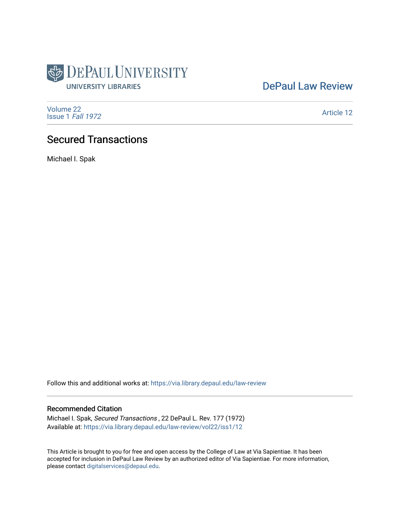

[DePaul Law Review](https://via.library.depaul.edu/law-review) 

[Volume 22](https://via.library.depaul.edu/law-review/vol22) [Issue 1](https://via.library.depaul.edu/law-review/vol22/iss1) Fall 1972

[Article 12](https://via.library.depaul.edu/law-review/vol22/iss1/12) 

# Secured Transactions

Michael I. Spak

Follow this and additional works at: [https://via.library.depaul.edu/law-review](https://via.library.depaul.edu/law-review?utm_source=via.library.depaul.edu%2Flaw-review%2Fvol22%2Fiss1%2F12&utm_medium=PDF&utm_campaign=PDFCoverPages) 

## Recommended Citation

Michael I. Spak, Secured Transactions , 22 DePaul L. Rev. 177 (1972) Available at: [https://via.library.depaul.edu/law-review/vol22/iss1/12](https://via.library.depaul.edu/law-review/vol22/iss1/12?utm_source=via.library.depaul.edu%2Flaw-review%2Fvol22%2Fiss1%2F12&utm_medium=PDF&utm_campaign=PDFCoverPages)

This Article is brought to you for free and open access by the College of Law at Via Sapientiae. It has been accepted for inclusion in DePaul Law Review by an authorized editor of Via Sapientiae. For more information, please contact [digitalservices@depaul.edu.](mailto:digitalservices@depaul.edu)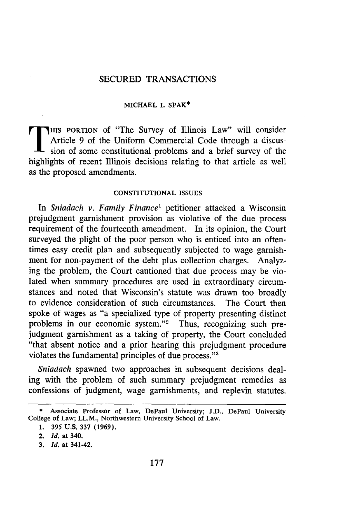## SECURED TRANSACTIONS

#### **MICHAEL I. SPAK\***

HIS PORTION of "The Survey of Illinois Law" will consider Article 9 of the Uniform Commercial Code through a discussion of some constitutional problems and a brief survey of the highlights of recent **Illinois** decisions relating to that article as well as the proposed amendments.

#### **CONSTITUTIONAL ISSUES**

In *Sniadach v. Family Finance'* petitioner attacked a Wisconsin prejudgment garnishment provision as violative of the due process requirement of the fourteenth amendment. In its opinion, the Court surveyed the plight of the poor person who is enticed into an oftentimes easy credit plan and subsequently subjected to wage garnishment for non-payment of the debt plus collection charges. Analyzing the problem, the Court cautioned that due process may be violated when summary procedures are used in extraordinary circumstances and noted that Wisconsin's statute was drawn too broadly to evidence consideration of such circumstances. The Court then spoke of wages as "a specialized type of property presenting distinct problems in our economic system."2 Thus, recognizing such prejudgment garnishment as a taking of property, the Court concluded "that absent notice and a prior hearing this prejudgment procedure violates the fundamental principles of due process."'

*Sniadach* spawned two approaches in subsequent decisions dealing with the problem of such summary prejudgment remedies as confessions of judgment, wage garnishments, and replevin statutes.

**<sup>\*</sup>** Associate Professor **of** Law, DePaul University; **J.D.,** DePaul University College **of** Law; LL.M., Northwestern University School **of** Law.

**<sup>1. 395</sup> U.S. 337 (1969).**

<sup>2.</sup> *Id.* at 340.

**<sup>3.</sup> Id.** at 341-42.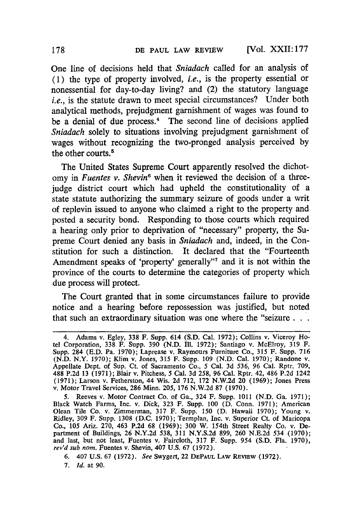**[Vol. XXII: 177**

One line of decisions held that *Sniadach* called for an analysis of **(1)** the type of property involved, *i.e.,* is the property essential or nonessential for day-to-day living? and (2) the statutory language *i.e.*, is the statute drawn to meet special circumstances? Under both analytical methods, prejudgment garnishment of wages was found to be a denial of due process.<sup>4</sup> The second line of decisions applied *Sniadach* solely to situations involving prejudgment garnishment of wages without recognizing the two-pronged analysis perceived **by** the other courts.<sup>5</sup>

The United States Supreme Court apparently resolved the dichotomy in *Fuentes v. Shevin<sup>6</sup>* when it reviewed the decision of a threejudge district court which had upheld the constitutionality of a state statute authorizing the summary seizure of goods under a writ of replevin issued to anyone who claimed a right to the property and posted a security bond. Responding to those courts which required a hearing only prior to deprivation of "necessary" property, the Supreme Court denied any basis in *Sniadach* and, indeed, in the Constitution for such a distinction. It declared that the "Fourteenth Amendment speaks of 'property' generally"<sup>7</sup> and it is not within the province of the courts to determine the categories of property which due process will protect.

The Court granted that in some circumstances failure to provide notice and a hearing before repossession was justified, but noted that such an extraordinary situation was one where the "seizure...

<sup>4.</sup> Adams **v.** Egley, **338** F. Supp. 614 **(S.D.** Cal. **1972);** Collins v. Viceroy Hotel Corporation, **338** F. Supp. **390 (N.D. Ill. 1972);** Santiago v. McElroy, **319** F. Supp. 284 **(E.D.** Pa. **1970);** Laprease v. Raymours Furniture Co., **315** F. Supp. **716 (N.D.** N.Y. **1970);** Klim v. Jones, **315** F. Supp. **109 (N.D.** Cal. **1970);** Randone v. Appellate Dept. of Sup. Ct. of Sacramento Co., **5** Cal. **3d 536, 96** Cal. Rptr. **709, 488 P.2d 13 (1971);** Blair v. Pitchess, **5** Cal. **3d 258, 96** Cal. Rptr. 42, 486 **P.2d** 1242 **(1971);** Larson v. Fetherston, 44 Wis. **2d 712, 172 N.W.2d** 20 **(1969);** Jones Press v. Motor Travel Services, **286** Minn. **205, 176 N.W.2d 87 (1970).**

**<sup>5.</sup>** Reeves v. Motor Contract Co. of Ga., 324 F. Supp. **1011 (N.D.** Ga. **1971);** Black Watch Farms, Inc. v. Dick, **323** F. Supp. **100 (D.** Conn. **1971);** American Olean Tile Co. v. Zimmerman, **317** F. Supp. **150 (D.** Hawaii **1970);** Young v. Ridley, **309** F. Supp. **1308 (D.C. 1970);** Termplan, Inc. v. Superior Ct. of Maricopa Co., **105** Ariz. **270,** 463 **P.2d 68 (1969); 300** W. 154th Street Realty Co. v. Department of Buildings, **26 N.Y.2d 538, 311 N.Y.S.2d 899, 260 N.E.2d** 534 **(1970);** and last, but not least, Fuentes v. Faircloth, **317** F. Supp. 954 **(S.D.** Fla. **1970),** *rev'd sub nom.* Fuentes v. Shevin, 407 **U.S. 67 (1972).**

**<sup>6.</sup>** 407 **U.S. 67 (1972).** *See* Swygert, **22 DEPAUL LAW REVIEW (1972).**

**<sup>7.</sup>** *Id.* at **90.**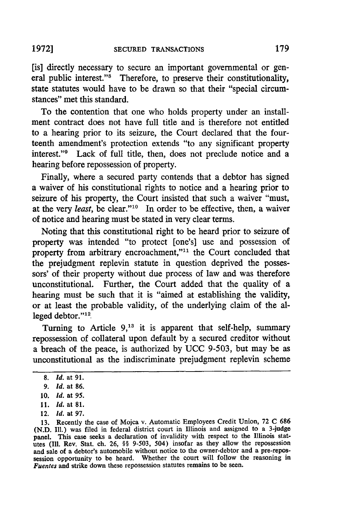[is] directly necessary to secure an important governmental or general public interest."<sup>8</sup> Therefore, to preserve their constitutionality, state statutes would have to be drawn so that their "special circumstances" met this standard.

To the contention that one who holds property under an installment contract does not have full title and is therefore not entitled to a hearing prior to its seizure, the Court declared that the fourteenth amendment's protection extends "to any significant property interest."<sup>9</sup> Lack of full title, then, does not preclude notice and a hearing before repossession of property.

Finally, where a secured party contends that a debtor has signed a waiver of his constitutional rights to notice and a hearing prior to seizure of his property, the Court insisted that such a waiver "must, at the very *least*, be clear."<sup>10</sup> In order to be effective, then, a waiver of notice and hearing must be stated in very clear terms.

Noting that this constitutional right to be heard prior to seizure of property was intended "to protect [one's] use and possession of property from arbitrary encroachment,"<sup>11</sup> the Court concluded that the prejudgment replevin statute in question deprived the possessors' of their property without due process of law and was therefore unconstitutional. Further, the Court added that the quality of a hearing must be such that it is "aimed at establishing the validity, or at least the probable validity, of the underlying claim of the alleged debtor."<sup>12</sup>

Turning to Article **9,13** it is apparent that self-help, summary repossession of collateral upon default by a secured creditor without a breach of the peace, is authorized by UCC 9-503, but may be as unconstitutional as the indiscriminate prejudgment replevin scheme

- **11.** *Id.* at **81.**
- 12. *Id.* at **97.**

<sup>8.</sup> *id.* at 91.

**<sup>9.</sup>** *Id.* at 86.

**<sup>10.</sup>** *Id.* at **95.**

**<sup>13.</sup>** Recently the case of Mojca v. Automatic Employees Credit Union, **72 C 686** (N.D. Ill.) was filed in federal district court in Illinois and assigned to a 3-judge panel. This case seeks a declaration of invalidity with respect to the Illinois statutes (ill. Rev. Stat. ch. 26, §§ **9-503,** 504) insofar as they allow the repossession and sale of a debtor's automobile without notice to the owner-debtor and a pre-repossession opportunity to be heard. Whether the court will follow the reasoning in *Fuentes* and strike down these repossession statutes remains to be seen.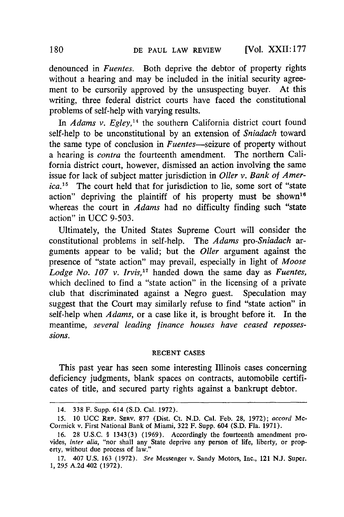denounced in *Fuentes.* Both deprive the debtor of property rights without a hearing and may be included in the initial security agreement to be cursorily approved by the unsuspecting buyer. At this writing, three federal district courts have faced the constitutional problems of self-help with varying results.

In *Adams v. Egley*,<sup>14</sup> the southern California district court found self-help to be unconstitutional by an extension of *Sniadach* toward the same type of conclusion in *Fuentes-seizure* of property without a hearing is *contra* the fourteenth amendment. The northern California district court, however, dismissed an action involving the same issue for lack of subject matter jurisdiction in *Oller v. Bank of America.*<sup>15</sup> The court held that for jurisdiction to lie, some sort of "state action" depriving the plaintiff of his property must be shown'<sup>6</sup> whereas the court in *Adams* had no difficulty finding such "state action" in UCC 9-503.

Ultimately, the United States Supreme Court will consider the constitutional problems in self-help. The *Adams pro-Sniadach ar*guments appear to be valid; but the *Oller* argument against the presence of "state action" may prevail, especially in light of *Moose Lodge No. 107 v. Irvis,17* handed down the same day as *Fuentes,* which declined to find a "state action" in the licensing of a private club that discriminated against a Negro guest. Speculation may suggest that the Court may similarly refuse to find "state action" in self-help when *Adams,* or a case like it, is brought before it. In the meantime, *several leading finance houses have ceased repossessions.*

#### RECENT CASES

This past year has seen some interesting Illinois cases concerning deficiency judgments, blank spaces on contracts, automobile certificates of title, and secured party rights against a bankrupt debtor.

<sup>14. 338</sup> F. Supp. 614 (S.D. Cal. 1972).

*<sup>15.</sup>* 10 UCC REP. SERV. 877 (Dist. Ct. N.D. Cal. Feb. 28, 1972); *accord* Mc-Cormick v. First National Bank of Miami, 322 F. Supp. 604 (S.D. Fla. 1971).

<sup>16. 28</sup> U.S.C. § 1343(3) (1969). Accordingly the fourteenth amendment provides, *inter alia,* "nor shall any State deprive any person of life, liberty, or property, without due process of law."

<sup>17. 407</sup> U.S. 163 (1972). *See* Messenger v. Sandy Motors, Inc., 121 N.J. Super. **1,** 295 A.2d 402 (1972).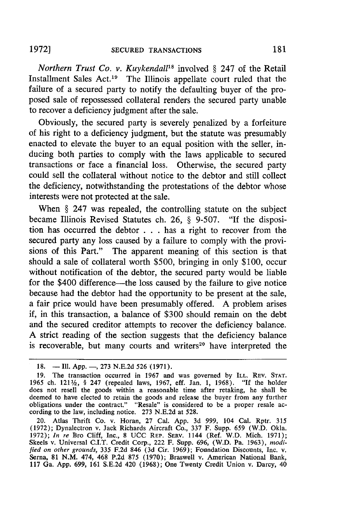*Northern Trust Co. v. Kuykendall<sup>18</sup>* involved § 247 of the Retail Installment Sales Act.<sup>19</sup> The Illinois appellate court ruled that the failure of a secured party to notify the defaulting buyer of the proposed sale of repossessed collateral renders the secured party unable to recover a deficiency judgment after the sale.

Obviously, the secured party is severely penalized by a forfeiture of his right to a deficiency judgment, but the statute was presumably enacted to elevate the buyer to an equal position with the seller, inducing both parties to comply with the laws applicable to secured transactions or face a financial loss. Otherwise, the secured party could sell the collateral without notice to the debtor and still collect the deficiency, notwithstanding the protestations of the debtor whose interests were not protected at the sale.

When § 247 was repealed, the controlling statute on the subject became Illinois Revised Statutes ch. 26, § 9-507. "If the disposition has occurred the debtor . . . has a right to recover from the secured party any loss caused by a failure to comply with the provisions of this Part." The apparent meaning of this section is that should a sale of collateral worth \$500, bringing in only \$100, occur without notification of the debtor, the secured party would be liable for the \$400 difference-the loss caused by the failure to give notice because had the debtor had the opportunity to be present at the sale, a fair price would have been presumably offered. A problem arises if, in this transaction, a balance of \$300 should remain on the debt and the secured creditor attempts to recover the deficiency balance. A strict reading of the section suggests that the deficiency balance is recoverable, but many courts and writers<sup>20</sup> have interpreted the

<sup>18. -</sup> **III.** App. -, 273 N.E.2d 526 (1971).

<sup>19.</sup> The transaction occurred in 1967 and was governed by ILL. REV. **STAT.** 1965 ch. 121 $\frac{1}{2}$ , § 247 (repealed laws, 1967, eff. Jan. 1, 1968). "If the holder does not resell the goods within a reasonable time after retaking, he shall be deemed to have elected to retain the goods and release the buyer from any further obligations under the contract." "Resale" is considered to be a proper resale ac- cording to the law, including notice. 273 N.E.2d at 528.

<sup>20.</sup> Atlas Thrift Co. v. Horan, 27 Cal. App. 3d 999, 104 Cal. Rptr. 315 (1972); Dynalectron v. Jack Richards Aircraft Co., 337 F. Supp. 659 (W.D. Okla. 1972); *In re* Bro Cliff, Inc., 8 UCC REP. SERV. 1144 (Ref. W.D. Mich. 1971); Skeels v. Universal C.I.T. Credit Corp., 222 F. Supp. 696, (W.D. Pa. 1963), *modified on other grounds,* 335 F.2d 846 (3d Cir. 1969); Foundation Discounts, Inc. v. Serna, 81 N.M. 474, 468 P.2d 875 (1970); Braswell v. American National Bank, 117 Ga. App. 699, 161 S.E.2d 420 (1968); One Twenty Credit Union v. Darcy, 40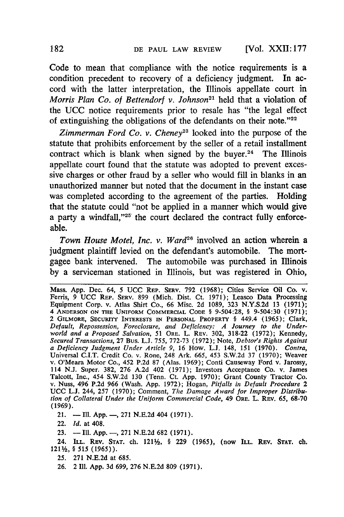Code to mean that compliance with the notice requirements is a condition precedent to recovery of a deficiency judgment. In accord with the latter interpretation, the Illinois appellate court in *Morris Plan Co. of Bettendorf v. Johnson21* held that a violation of the **UCC** notice requirements prior to resale has "the legal effect of extinguishing the obligations of the defendants on their note."<sup>22</sup>

*Zimmerman Ford Co. v. Cheney23* looked into the purpose of the statute that prohibits enforcement **by** the seller of a retail installment contract which is blank when signed by the buyer.<sup>24</sup> The Illinois appellate court found that the statute was adopted to prevent excessive charges or other fraud **by** a seller who would fill in blanks in an unauthorized manner but noted that the document in the instant case was completed according to the agreement of the parties. Holding that the statute could "not be applied in a manner which would give a party a windfall,"<sup>25</sup> the court declared the contract fully enforceable.

*Town House Motel, Inc. v. Ward26* involved an action wherein a judgment plaintiff levied on the defendant's automobile. The mortgagee bank intervened. The automobile was purchased in Illinois **by** a serviceman stationed in Illinois, but was registered in Ohio,

Mass. **App.** Dec. 64, 5 UCC REP. SERV. **792** (1968); Cities Service Oil Co. v. Ferris, 9 **UCC** REP. SERV. **899** (Mich. Dist. Ct. 1971); Leasco Data Processing Equipment Corp. v. Atlas Shirt Co., 66 Misc. 2d **1089,** 323 N.Y.S.2d **13** (1971); 4 **ANDERSON ON** THE **UNIFORM** COMMERCIAL CODE § 9-504:28, § 9-504:30 (1971); 2 GILMORE, SECURITY INTERESTS **IN** PERSONAL PROPERTY § 449.4 **(1965);** Clark, *Default, Repossession, Foreclosure, and Deficiency: A Journey to the Underworld and a Proposed Salvation, 51* ORE. L. REV. 302, 318-22 (1972); Kennedy, *Secured Transactions,* **27** Bus. **L.J. 755, 772-73** (1972); Note, *Debtor's Rights Against a Deficiency Judgment Under Article 9,* 16 How. L.J. 148, **151** (1970). *Contra,* Universal C.I.T. Credit Co. v. Rone, 248 Ark. **665,** 453 S.W.2d **37** (1970); Weaver v. O'Meara Motor Co., 452 P.2d **87** (Alas. 1969); Conti Causeway Ford v. Jarossy, 114 **N.J.** Super. 382, **276** A.2d 402 (1971); Investors Acceptance Co. v. James Talcott, Inc., 454 S.W.2d 130 (Tenn. Ct. App. 1970); Grant County Tractor Co. v. Nuss, 496 P.2d **966** (Wash. App. 1972); Hogan, *Pitfalls in Default Procedure 2* **UCC L.J.** 244, **257** (1970); Comment, *The Damage Award for Improper Distribution of Collateral Under the Uniform Commercial Code,* 49 ORE. L. REV. 65, **68-70 (1969).**

21. - **Ill.** App. -, 271 N.E.2d 404 (1971).

22. *Id.* at 408.

**23.** -Ill. App.-, **271 N.E.2d 682** (1971).

24. ILL. REV. **STAT.** ch. 121%, § **229 (1965),** (now ILL. REV. **STAT.** ch. 121%, § 515 (1965)).

**25. 271** N.E.2d at 685.

**26.** 2 Ill. **App.** 3d 699, **276** N.E.2d 809 (1971).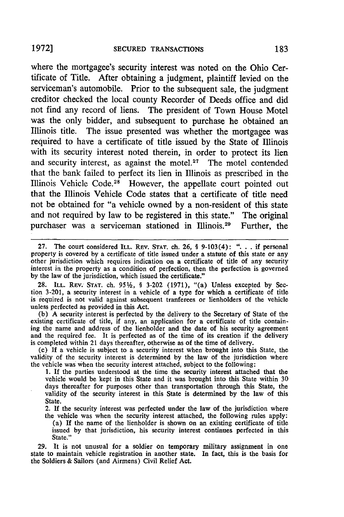where the mortgagee's security interest was noted on the Ohio Certificate of Title. After obtaining a judgment, plaintiff levied on the serviceman's automobile. Prior to the subsequent sale, the judgment creditor checked the local county Recorder of Deeds office and did not find any record of liens. The president of Town House Motel was the only bidder, and subsequent to purchase he obtained an Illinois title. The issue presented was whether the mortgagee was required to have a certificate of title issued by the State of Illinois with its security interest noted therein, in order to protect its lien and security interest, as against the motel.<sup>27</sup> The motel contended that the bank failed to perfect its lien in Illinois as prescribed in the Illinois Vehicle Code.<sup>28</sup> However, the appellate court pointed out that the Illinois Vehicle Code states that a certificate of title need not be obtained for "a vehicle owned by a non-resident of this state and not required by law to be registered in this state." The original purchaser was a serviceman stationed in Illinois.29 Further, the

28. ILL. REV. STAT. ch. 95<sup>1</sup>/<sub>2</sub>, § 3-202 (1971), "(a) Unless excepted by Section **3-201,** a security interest in a vehicle of a type for which a certificate of title is required is not valid against subsequent tranferees or lienholders of the vehicle unless perfected as provided in this Act.

**(b) A** security interest is perfected **by** the delivery to the Secretary of State of the existing certificate of title, if any, an application for a certificate of title containing the name and address of the lienholder and the date of his security agreement and the required fee. It is perfected as of the time of its creation if the delivery

is completed within 21 days thereafter, otherwise as of the time of delivery. **(c) If** a vehicle is subject to a security interest when brought into this State, the validity of the security interest is determined **by** the law of the jurisdiction where the vehicle was when the security interest attached, subject to the following:

**1.** If the parties understood at the time the security interest attached that the vehicle would be kept in this State and it was brought into this State within **30** days thereafter for purposes other than transportation through this State, the validity of the security interest in this State is determined **by** the law of this State.

2. If the security interest was perfected under the law of the jurisdiction where the vehicle was when the security interest attached, the following rules apply:

(a) If the name of the lienholder is shown on an existing certificate of title issued by that jurisdiction, his security interest continues perfected in this State."

29. It is not unusual for a soldier on temporary military assignment in one state to maintain vehicle registration in another state. In fact, this is the basis for the Soldiers & Sailors (and Airmens) Civil Relief Act.

**<sup>27.</sup>** The court considered **ILL.** REV. **STAT.** ch. **26,** § 9-103(4): **"...** if personal property is covered **by** a certificate of title issued under a statute of this state or any other jurisdiction which requires indication on a certificate of title of any security interest in the property as a condition of perfection, then the perfection is governed **by** the law of the jurisdiction, which issued the certificate."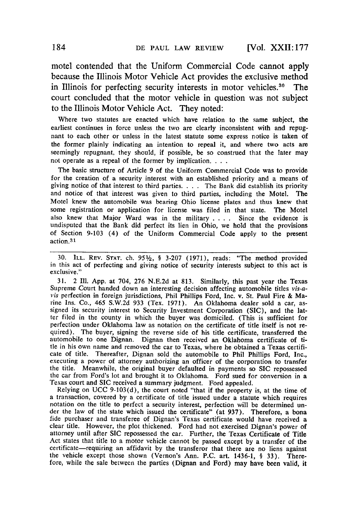[Vol. XXII: **177**

motel contended that the Uniform Commercial Code cannot apply because the Illinois Motor Vehicle Act provides the exclusive method in Illinois for perfecting security interests in motor vehicles.<sup>30</sup> The court concluded that the motor vehicle in question was not subject to the Illinois Motor Vehicle Act. They noted:

Where two statutes are enacted which have relation to the same subject, the earliest continues in force unless the two are clearly inconsistent with and repugnant to each other or unless in the latest statute some express notice is taken of the former plainly indicating an intention to repeal it, and where two acts are seemingly repugnant, they should, if possible, be so construed that the later may not operate as a repeal of the former by implication. . . .

The basic structure of Article 9 of the Uniform Commercial Code was to provide for the creation of a security interest with an established priority and a means of giving notice of that interest to third parties. . **.** . The Bank did establish its priority and notice of that interest was given to third parties, including the Motel. The Motel knew the automobile was bearing Ohio license plates and thus knew that some registration or application for license was filed in that state. The Motel also knew that Major Ward was in the military . **. .** . Since the evidence is undisputed that the Bank did perfect its lien in Ohio, we hold that the provisions of Section 9-103 (4) of the Uniform Commercial Code apply to the present action.31

30. ILL. REV. **STAT.** ch. **951/2,** § 3-207 (1971), reads: "The method provided in this act of perfecting and giving notice of security interests subject to this act is exclusive."

31. 2 Ill. App. at 704, 276 N.E.2d at 813. Similarly, this past year the Texas Supreme Court handed down an interesting decision affecting automobile titles vis-avis perfection in foreign jurisdictions, Phil Phillips Ford, Inc. v. St. Paul Fire & Marine Ins. Co., 465 S.W.2d 933 (Tex. 1971). An Oklahoma dealer sold a car, assigned its security interest to Security Investment Corporation (SIC), and the latter filed in the county in which the buyer was domiciled. (This is sufficient for perfection under Oklahoma law as notation on the certificate of title itself is not required). The buyer, signing the reverse side of his title certificate, transferred the automobile to one Dignan. Dignan then received an Oklahoma certificate of title in his own name and removed the car to Texas, where he obtained a Texas certificate of title. Thereafter, Dignan sold the automobile to Phil Phillips Ford, Inc., executing a power of attorney authorizing an officer of the corporation to transfer the title. Meanwhile, the original buyer defaulted in payments so SIC repossessed the car from Ford's lot and brought it to Oklahoma. Ford sued for conversion in a Texas court and SIC received a summary judgment. Ford appealed. Relying on UCC 9-103(d), the court noted "that if the property is, at the time of

a transaction, covered by a certificate of title issued under a statute which requires notation on the title to perfect a security interest, perfection will be determined under the law of the state which issued the certificate" (at 937). Therefore, a bona fide purchaser and transferee of Dignan's Texas certificate would have received a clear title. However, the plot thickened. Ford had not exercised Dignan's power of attorney until after SIC repossessed the car. Further, the Texas Certificate of Title Act states that title to a motor vehicle cannot be passed except by a transfer of the certificate-requiring an affidavit by the transferor that there are no liens against the vehicle except those shown (Vernon's Ann. P.C. art. 1436-1, § 33). Therefore, while the sale between the parties (Dignan and Ford) may have been valid, it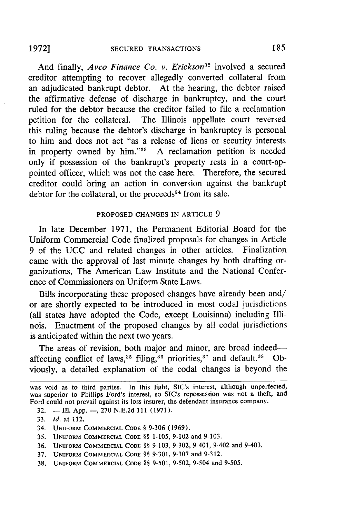And finally, *Avco Finance Co. v. Erickson*<sup>32</sup> involved a secured creditor attempting to recover allegedly converted collateral from an adjudicated bankrupt debtor. At the hearing, the debtor raised the affirmative defense of discharge in bankruptcy, and the court ruled for the debtor because the creditor failed to file a reclamation petition for the collateral. The Illinois appellate court reversed this ruling because the debtor's discharge in bankruptcy is personal to him and does not act "as a release of liens or security interests in property owned by him."33 A reclamation petition is needed only if possession of the bankrupt's property rests in a court-appointed officer, which was not the case here. Therefore, the secured creditor could bring an action in conversion against the bankrupt debtor for the collateral, or the proceeds $34$  from its sale.

## PROPOSED **CHANGES IN** ARTICLE 9

In late December 1971, the Permanent Editorial Board for the Uniform Commercial Code finalized proposals for changes in Article 9 of the UCC and related changes in other articles. Finalization came with the approval of last minute changes by both drafting organizations, The American Law Institute and the National Conference of Commissioners on Uniform State Laws.

Bills incorporating these proposed changes have already been and/ or are shortly expected to be introduced in most codal jurisdictions (all states have adopted the Code, except Louisiana) including Illinois. Enactment of the proposed changes by all codal jurisdictions is anticipated within the next two years.

The areas of revision, both major and minor, are broad indeedaffecting conflict of laws,  $35$  filing,  $36$  priorities,  $37$  and default.  $38$  Obviously, a detailed explanation of the codal changes is beyond the

32.  $\blacksquare$  Ill. App.  $\blacksquare$ , 270 N.E.2d 111 (1971).

- **35. UNIFORM** COMMERCIAL **CODE §§ 1-105, 9-102** and 9-103.
- 36. **UNIFORM** COMMERCIAL **CODE §§ 9-103, 9-302,** 9-401, 9-402 and 9-403.
- 37. **UNIFORM** COMMERCIAL **CODE §§ 9-301, 9-307** and 9-312.
- **38. UNIFORM** COMMERCIAL **CODE §§** 9-501, 9-502, 9-504 and **9-505.**

was void as to third parties. In this light, SIC's interest, although unperfected, was superior to Phillips Ford's interest, so SIC's repossession was not a theft, and Ford could not prevail against its loss insurer, the defendant insurance company.

<sup>33.</sup> *Id.* at 112.

<sup>34.</sup> **UNIFORM** COMMERCIAL **CODE § 9-306 (1969).**